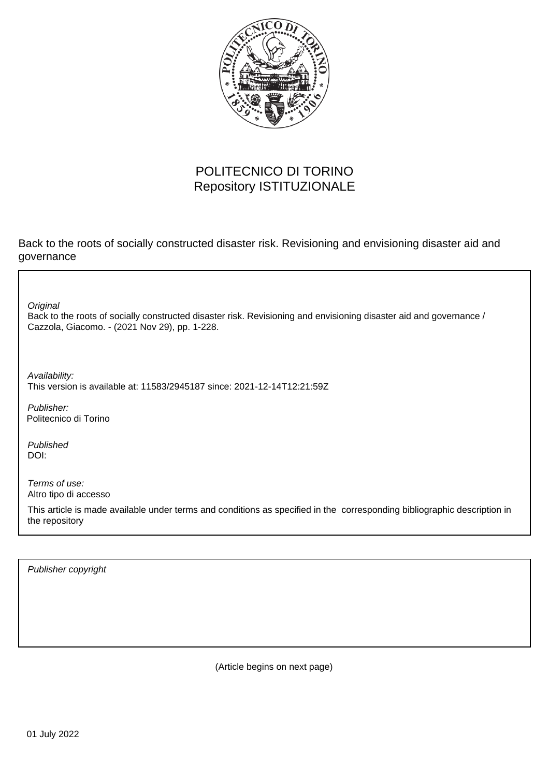

### POLITECNICO DI TORINO Repository ISTITUZIONALE

Back to the roots of socially constructed disaster risk. Revisioning and envisioning disaster aid and governance

Back to the roots of socially constructed disaster risk. Revisioning and envisioning disaster aid and governance / Cazzola, Giacomo. - (2021 Nov 29), pp. 1-228. **Original** 

Availability: This version is available at: 11583/2945187 since: 2021-12-14T12:21:59Z

Publisher: Politecnico di Torino

Published DOI:

Terms of use: Altro tipo di accesso

This article is made available under terms and conditions as specified in the corresponding bibliographic description in the repository

Publisher copyright

(Article begins on next page)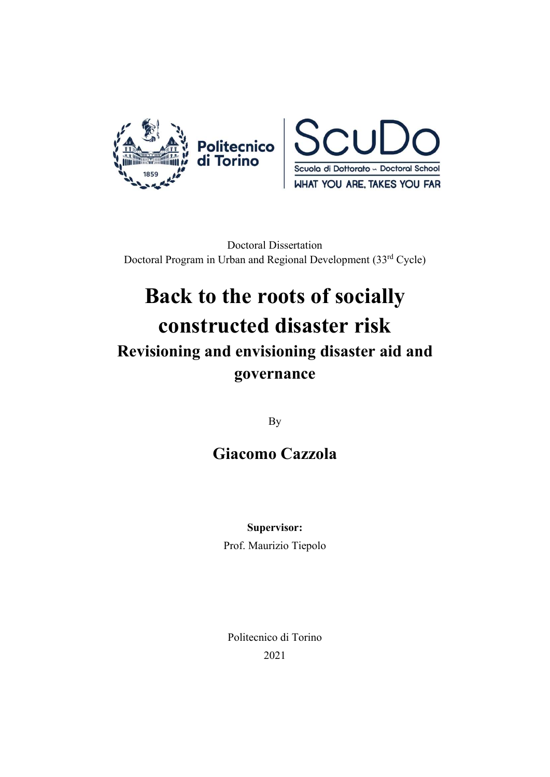



Doctoral Dissertation Doctoral Program in Urban and Regional Development (33rd Cycle)

# Back to the roots of socially constructed disaster risk Revisioning and envisioning disaster aid and governance

By

### Giacomo Cazzola

Supervisor:

Prof. Maurizio Tiepolo

Politecnico di Torino 2021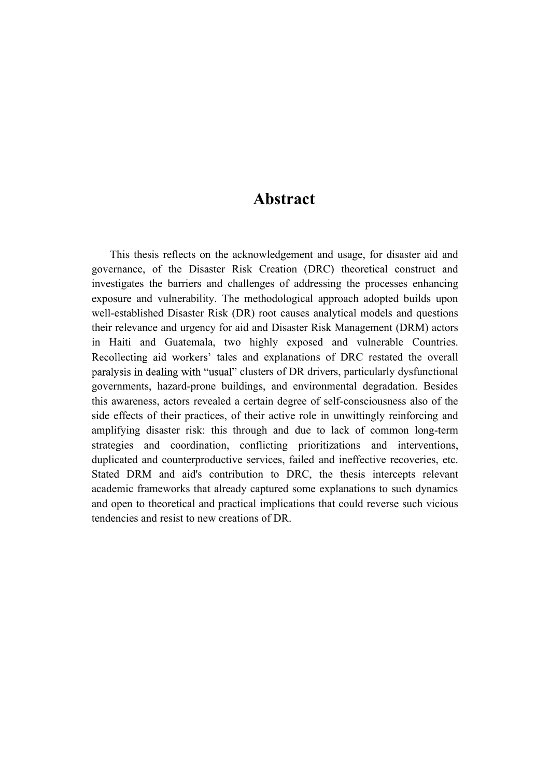#### Abstract

This thesis reflects on the acknowledgement and usage, for disaster aid and governance, of the Disaster Risk Creation (DRC) theoretical construct and investigates the barriers and challenges of addressing the processes enhancing exposure and vulnerability. The methodological approach adopted builds upon well-established Disaster Risk (DR) root causes analytical models and questions their relevance and urgency for aid and Disaster Risk Management (DRM) actors in Haiti and Guatemala, two highly exposed and vulnerable Countries. Recollecting aid workers' tales and explanations of DRC restated the overall paralysis in dealing with "usual" clusters of DR drivers, particularly dysfunctional governments, hazard-prone buildings, and environmental degradation. Besides this awareness, actors revealed a certain degree of self-consciousness also of the side effects of their practices, of their active role in unwittingly reinforcing and amplifying disaster risk: this through and due to lack of common long-term strategies and coordination, conflicting prioritizations and interventions, duplicated and counterproductive services, failed and ineffective recoveries, etc. Stated DRM and aid's contribution to DRC, the thesis intercepts relevant academic frameworks that already captured some explanations to such dynamics and open to theoretical and practical implications that could reverse such vicious tendencies and resist to new creations of DR.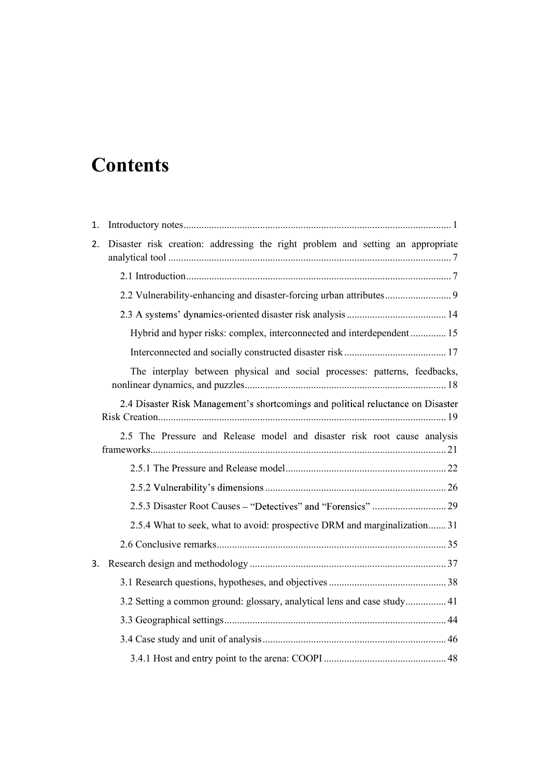## **Contents**

| 2. Disaster risk creation: addressing the right problem and setting an appropriate |
|------------------------------------------------------------------------------------|
|                                                                                    |
| 2.2 Vulnerability-enhancing and disaster-forcing urban attributes 9                |
|                                                                                    |
| Hybrid and hyper risks: complex, interconnected and interdependent 15              |
|                                                                                    |
| The interplay between physical and social processes: patterns, feedbacks,          |
| 2.4 Disaster Risk Management's shortcomings and political reluctance on Disaster   |
| 2.5 The Pressure and Release model and disaster risk root cause analysis           |
|                                                                                    |
|                                                                                    |
|                                                                                    |
| 2.5.4 What to seek, what to avoid: prospective DRM and marginalization 31          |
|                                                                                    |
|                                                                                    |
|                                                                                    |
| 3.2 Setting a common ground: glossary, analytical lens and case study 41           |
|                                                                                    |
|                                                                                    |
|                                                                                    |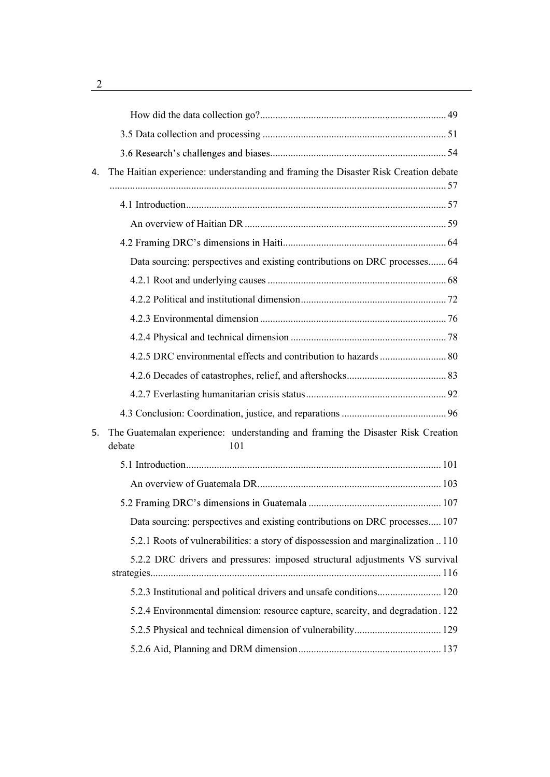| 4. | The Haitian experience: understanding and framing the Disaster Risk Creation debate              |
|----|--------------------------------------------------------------------------------------------------|
|    |                                                                                                  |
|    |                                                                                                  |
|    |                                                                                                  |
|    | Data sourcing: perspectives and existing contributions on DRC processes 64                       |
|    |                                                                                                  |
|    |                                                                                                  |
|    |                                                                                                  |
|    |                                                                                                  |
|    |                                                                                                  |
|    |                                                                                                  |
|    |                                                                                                  |
|    |                                                                                                  |
| 5. | The Guatemalan experience: understanding and framing the Disaster Risk Creation<br>debate<br>101 |
|    |                                                                                                  |
|    |                                                                                                  |
|    |                                                                                                  |
|    | Data sourcing: perspectives and existing contributions on DRC processes 107                      |
|    | 5.2.1 Roots of vulnerabilities: a story of dispossession and marginalization 110                 |
|    | 5.2.2 DRC drivers and pressures: imposed structural adjustments VS survival                      |
|    | 5.2.3 Institutional and political drivers and unsafe conditions 120                              |
|    | 5.2.4 Environmental dimension: resource capture, scarcity, and degradation. 122                  |
|    |                                                                                                  |
|    |                                                                                                  |